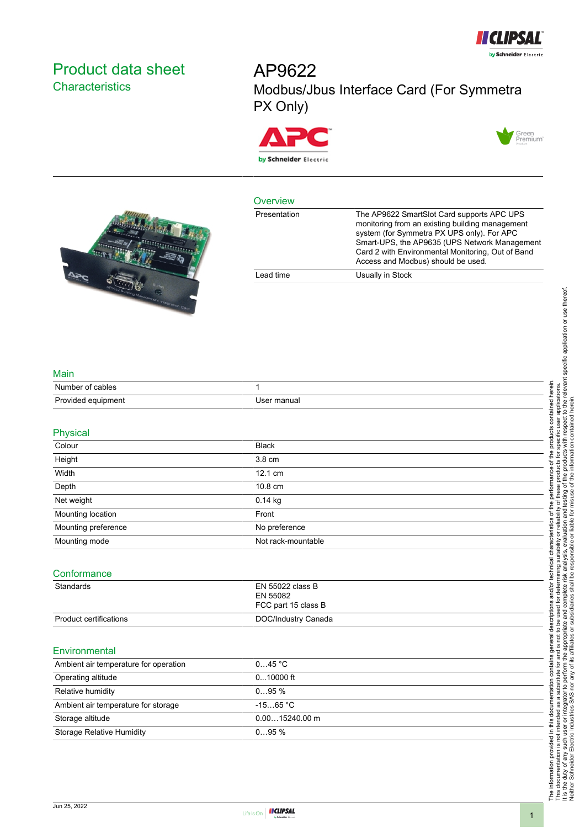

# <span id="page-0-0"></span>Product data sheet **Characteristics**

AP9622 Modbus/Jbus Interface Card (For Symmetra PX Only)





#### **Overview**

| --------     |                                                                                                                                                                                                                                                                                         |
|--------------|-----------------------------------------------------------------------------------------------------------------------------------------------------------------------------------------------------------------------------------------------------------------------------------------|
| Presentation | The AP9622 SmartSlot Card supports APC UPS<br>monitoring from an existing building management<br>system (for Symmetra PX UPS only). For APC<br>Smart-UPS, the AP9635 (UPS Network Management<br>Card 2 with Environmental Monitoring, Out of Band<br>Access and Modbus) should be used. |
| Lead time    | Usually in Stock                                                                                                                                                                                                                                                                        |
|              |                                                                                                                                                                                                                                                                                         |



 $250$ 

| Number of cables   |             |
|--------------------|-------------|
| Provided equipment | Jser manual |

| Physical                              |                                                     |  |
|---------------------------------------|-----------------------------------------------------|--|
| Colour                                | <b>Black</b>                                        |  |
| Height                                | 3.8 cm                                              |  |
| Width                                 | 12.1 cm                                             |  |
| Depth                                 | 10.8 cm                                             |  |
| Net weight                            | 0.14 kg                                             |  |
| Mounting location                     | Front                                               |  |
| Mounting preference                   | No preference                                       |  |
| Mounting mode                         | Not rack-mountable                                  |  |
| Conformance                           |                                                     |  |
| Standards                             | EN 55022 class B<br>EN 55082<br>FCC part 15 class B |  |
| Product certifications                | DOC/Industry Canada                                 |  |
| Environmental                         |                                                     |  |
| Ambient air temperature for operation | 045 °C                                              |  |
| Operating altitude                    | $010000$ ft                                         |  |
| Relative humidity                     | 095%                                                |  |
| Ambient air temperature for storage   | $-1565 °C$                                          |  |



Storage altitude 0.00…15240.00 m

Storage Relative Humidity **CHAU COMPTAN COMPTS** 0...95 %